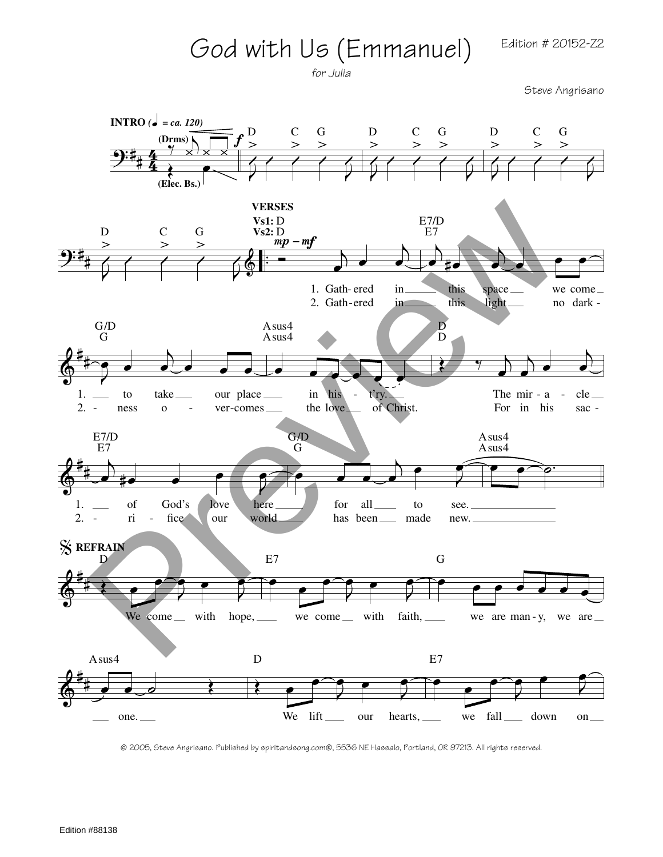Edition # 20152-Z2

## God with Us (Emmanuel)



Steve Angrisano



© 2005, Steve Angrisano. Published by spiritandsong.com®, 5536 NE Hassalo, Portland, OR 97213. All rights reserved.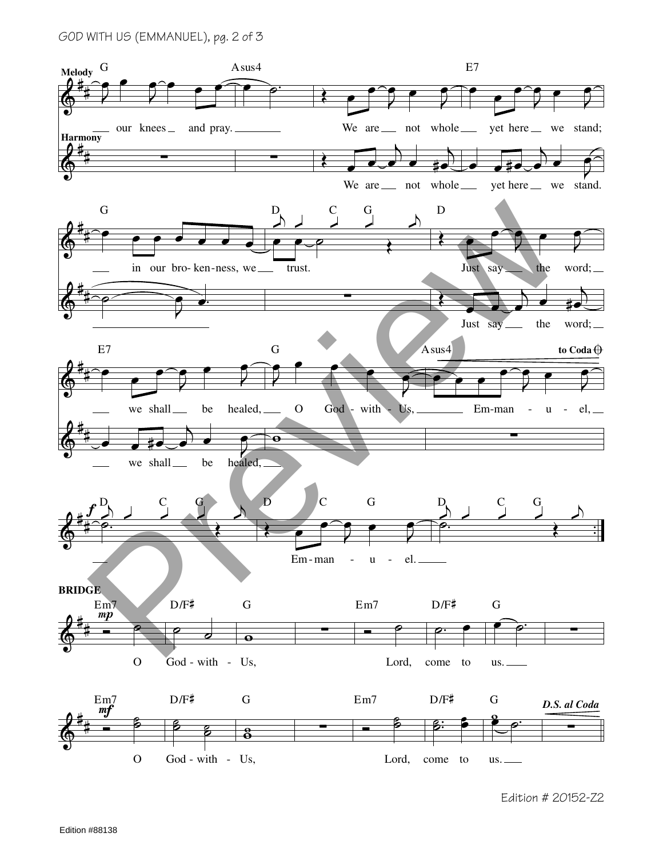## GOD WITH US (EMMANUEL), pg. 2 of 3



Edition # 20152-Z2